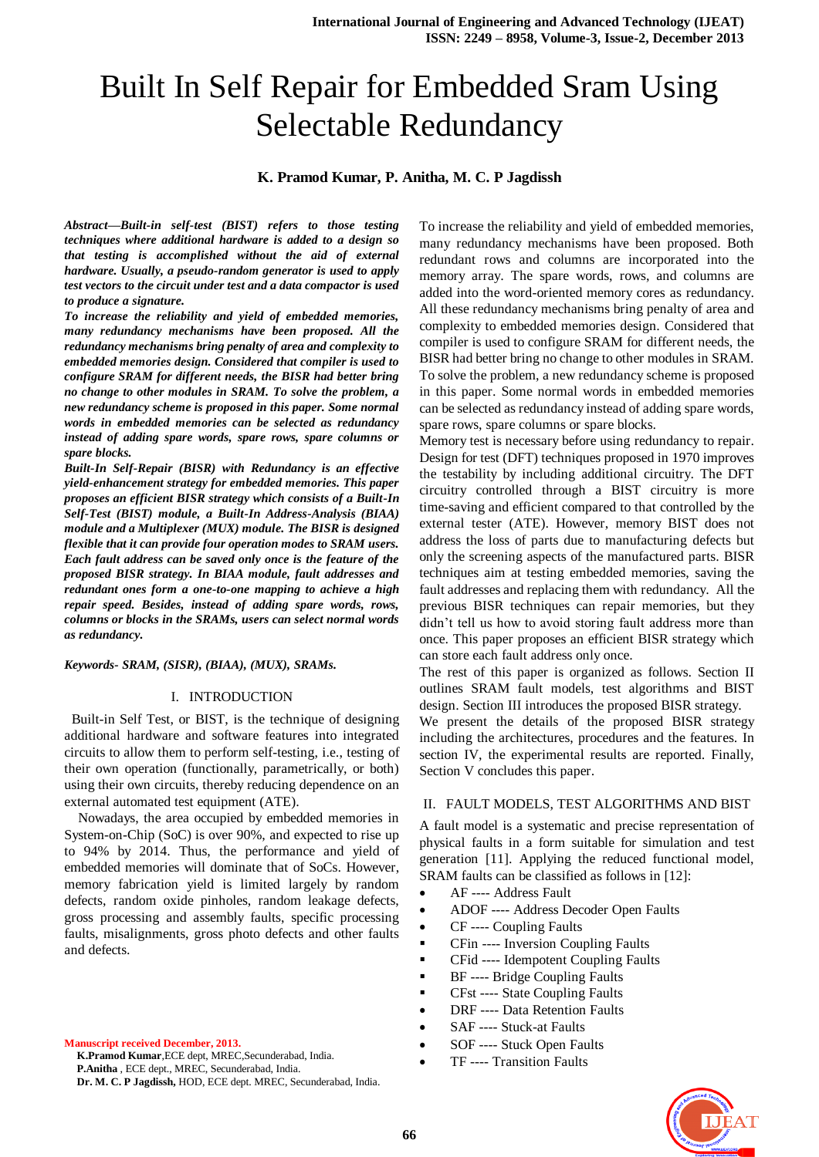# Built In Self Repair for Embedded Sram Using Selectable Redundancy

## **K. Pramod Kumar, P. Anitha, M. C. P Jagdissh**

*Abstract—Built-in self-test (BIST) refers to those testing techniques where additional hardware is added to a design so that testing is accomplished without the aid of external hardware. Usually, a pseudo-random generator is used to apply test vectors to the circuit under test and a data compactor is used to produce a signature.*

*To increase the reliability and yield of embedded memories, many redundancy mechanisms have been proposed. All the redundancy mechanisms bring penalty of area and complexity to embedded memories design. Considered that compiler is used to configure SRAM for different needs, the BISR had better bring no change to other modules in SRAM. To solve the problem, a new redundancy scheme is proposed in this paper. Some normal words in embedded memories can be selected as redundancy instead of adding spare words, spare rows, spare columns or spare blocks.*

*Built-In Self-Repair (BISR) with Redundancy is an effective yield-enhancement strategy for embedded memories. This paper proposes an efficient BISR strategy which consists of a Built-In Self-Test (BIST) module, a Built-In Address-Analysis (BIAA) module and a Multiplexer (MUX) module. The BISR is designed flexible that it can provide four operation modes to SRAM users. Each fault address can be saved only once is the feature of the proposed BISR strategy. In BIAA module, fault addresses and redundant ones form a one-to-one mapping to achieve a high repair speed. Besides, instead of adding spare words, rows, columns or blocks in the SRAMs, users can select normal words as redundancy.*

*Keywords- SRAM, (SISR), (BIAA), (MUX), SRAMs.*

#### I. INTRODUCTION

 Built-in Self Test, or BIST, is the technique of designing additional hardware and software features into integrated circuits to allow them to perform self-testing, i.e., testing of their own operation (functionally, parametrically, or both) using their own circuits, thereby reducing dependence on an external automated test equipment (ATE).

Nowadays, the area occupied by embedded memories in System-on-Chip (SoC) is over 90%, and expected to rise up to 94% by 2014. Thus, the performance and yield of embedded memories will dominate that of SoCs. However, memory fabrication yield is limited largely by random defects, random oxide pinholes, random leakage defects, gross processing and assembly faults, specific processing faults, misalignments, gross photo defects and other faults and defects.

**Manuscript received December, 2013.**

**K.Pramod Kumar**,ECE dept, MREC,Secunderabad, India. **P.Anitha** , ECE dept., MREC, Secunderabad, India.

**Dr. M. C. P Jagdissh,** HOD, ECE dept. MREC, Secunderabad, India.

To increase the reliability and yield of embedded memories, many redundancy mechanisms have been proposed. Both redundant rows and columns are incorporated into the memory array. The spare words, rows, and columns are added into the word-oriented memory cores as redundancy. All these redundancy mechanisms bring penalty of area and complexity to embedded memories design. Considered that compiler is used to configure SRAM for different needs, the BISR had better bring no change to other modules in SRAM. To solve the problem, a new redundancy scheme is proposed in this paper. Some normal words in embedded memories can be selected as redundancy instead of adding spare words, spare rows, spare columns or spare blocks.

Memory test is necessary before using redundancy to repair. Design for test (DFT) techniques proposed in 1970 improves the testability by including additional circuitry. The DFT circuitry controlled through a BIST circuitry is more time-saving and efficient compared to that controlled by the external tester (ATE). However, memory BIST does not address the loss of parts due to manufacturing defects but only the screening aspects of the manufactured parts. BISR techniques aim at testing embedded memories, saving the fault addresses and replacing them with redundancy. All the previous BISR techniques can repair memories, but they didn't tell us how to avoid storing fault address more than once. This paper proposes an efficient BISR strategy which can store each fault address only once.

The rest of this paper is organized as follows. Section II outlines SRAM fault models, test algorithms and BIST design. Section III introduces the proposed BISR strategy.

We present the details of the proposed BISR strategy including the architectures, procedures and the features. In section IV, the experimental results are reported. Finally, Section V concludes this paper.

#### II. FAULT MODELS, TEST ALGORITHMS AND BIST

A fault model is a systematic and precise representation of physical faults in a form suitable for simulation and test generation [11]. Applying the reduced functional model, SRAM faults can be classified as follows in [12]:

- AF ---- Address Fault
- ADOF ---- Address Decoder Open Faults
- CF ---- Coupling Faults
- **•** CFin ---- Inversion Coupling Faults
- **CFid ---- Idempotent Coupling Faults**
- **BF** ---- Bridge Coupling Faults
- CFst ---- State Coupling Faults
- DRF ---- Data Retention Faults
	- SAF ---- Stuck-at Faults
- SOF ---- Stuck Open Faults
- TF ---- Transition Faults

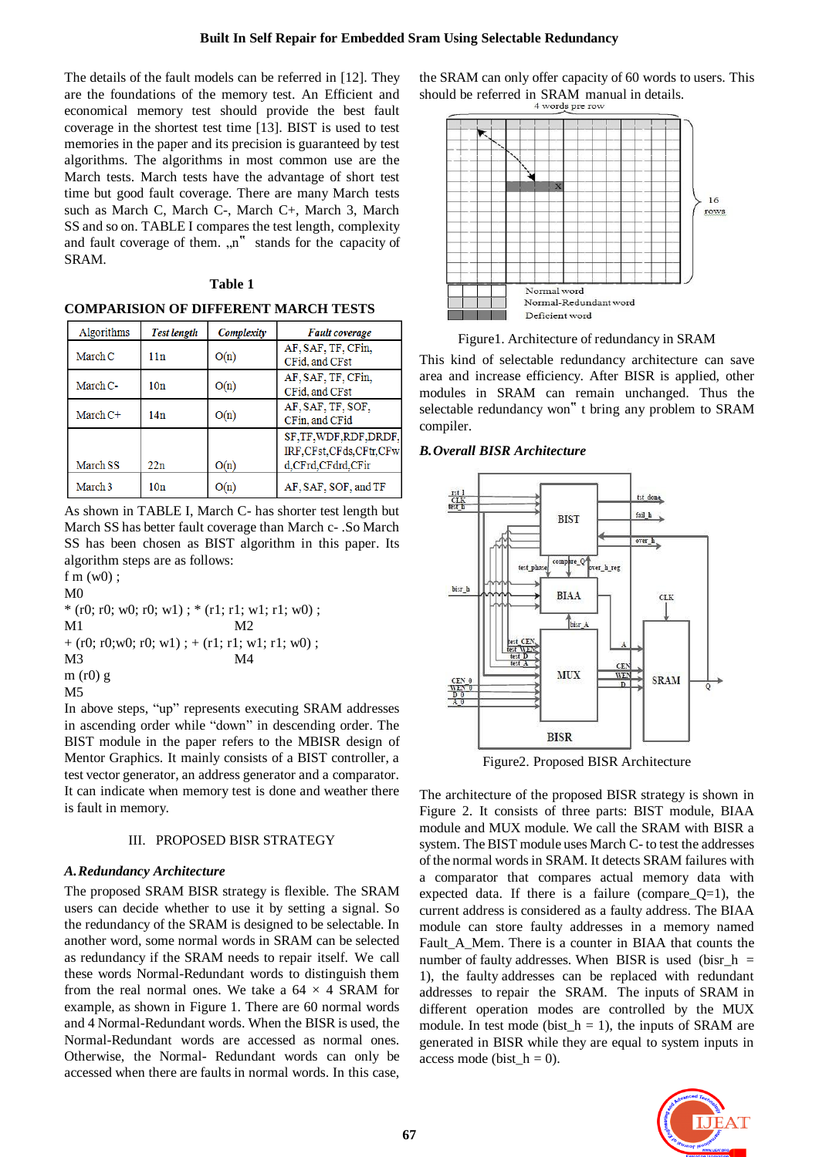The details of the fault models can be referred in [12]. They are the foundations of the memory test. An Efficient and economical memory test should provide the best fault coverage in the shortest test time [13]. BIST is used to test memories in the paper and its precision is guaranteed by test algorithms. The algorithms in most common use are the March tests. March tests have the advantage of short test time but good fault coverage. There are many March tests such as March C, March C-, March C+, March 3, March SS and so on. TABLE I compares the test length, complexity and fault coverage of them.  $\ldots$ <sup>"</sup> stands for the capacity of SRAM.

#### **Table 1**

**COMPARISION OF DIFFERENT MARCH TESTS**

| Algorithms         | <b>Test length</b> | Complexity | <b>Fault</b> coverage                                                  |
|--------------------|--------------------|------------|------------------------------------------------------------------------|
| March C            | 11n                | O(n)       | AF, SAF, TF, CFin,<br>CFid, and CFst                                   |
| March C-           | 10n                | O(n)       | AF, SAF, TF, CFin,<br>CFid, and CFst                                   |
| March $C+$         | 14n                | O(n)       | AF, SAF, TF, SOF,<br>CFin, and CFid                                    |
| March SS           | 22n                | O(n)       | SF,TF,WDF,RDF,DRDF,<br>IRF, CFst, CFds, CFtr, CFw<br>d.CFrd.CFdrd.CFir |
| March <sub>3</sub> | 10n                | O(n)       | AF, SAF, SOF, and TF                                                   |

As shown in TABLE I, March C- has shorter test length but March SS has better fault coverage than March c- .So March SS has been chosen as BIST algorithm in this paper. Its algorithm steps are as follows:

f m  $(w0)$ ; M0  $*(r0; r0; w0; r0; w1)$ ;  $*(r1; r1; w1; r1; w0)$ ;  $M1$   $M2$  $+(r0; r0; w0; r0; w1); + (r1; r1; w1; r1; w0);$ M3 M4 m  $(r0)$  g M5

In above steps, "up" represents executing SRAM addresses in ascending order while "down" in descending order. The BIST module in the paper refers to the MBISR design of Mentor Graphics. It mainly consists of a BIST controller, a test vector generator, an address generator and a comparator. It can indicate when memory test is done and weather there is fault in memory.

## III. PROPOSED BISR STRATEGY

## *A.Redundancy Architecture*

The proposed SRAM BISR strategy is flexible. The SRAM users can decide whether to use it by setting a signal. So the redundancy of the SRAM is designed to be selectable. In another word, some normal words in SRAM can be selected as redundancy if the SRAM needs to repair itself. We call these words Normal-Redundant words to distinguish them from the real normal ones. We take a  $64 \times 4$  SRAM for example, as shown in Figure 1. There are 60 normal words and 4 Normal-Redundant words. When the BISR is used, the Normal-Redundant words are accessed as normal ones. Otherwise, the Normal- Redundant words can only be accessed when there are faults in normal words. In this case,

the SRAM can only offer capacity of 60 words to users. This should be referred in SRAM manual in details.<br> $4 \text{ words per row}$ 



Figure1. Architecture of redundancy in SRAM

This kind of selectable redundancy architecture can save area and increase efficiency. After BISR is applied, other modules in SRAM can remain unchanged. Thus the selectable redundancy won" t bring any problem to SRAM compiler.

## *B.Overall BISR Architecture*



Figure2. Proposed BISR Architecture

The architecture of the proposed BISR strategy is shown in Figure 2. It consists of three parts: BIST module, BIAA module and MUX module. We call the SRAM with BISR a system. The BIST module uses March C- to test the addresses of the normal words in SRAM. It detects SRAM failures with a comparator that compares actual memory data with expected data. If there is a failure (compare  $Q=1$ ), the current address is considered as a faulty address. The BIAA module can store faulty addresses in a memory named Fault A Mem. There is a counter in BIAA that counts the number of faulty addresses. When BISR is used (bisr  $h =$ 1), the faulty addresses can be replaced with redundant addresses to repair the SRAM. The inputs of SRAM in different operation modes are controlled by the MUX module. In test mode (bist  $h = 1$ ), the inputs of SRAM are generated in BISR while they are equal to system inputs in access mode (bist\_h = 0).

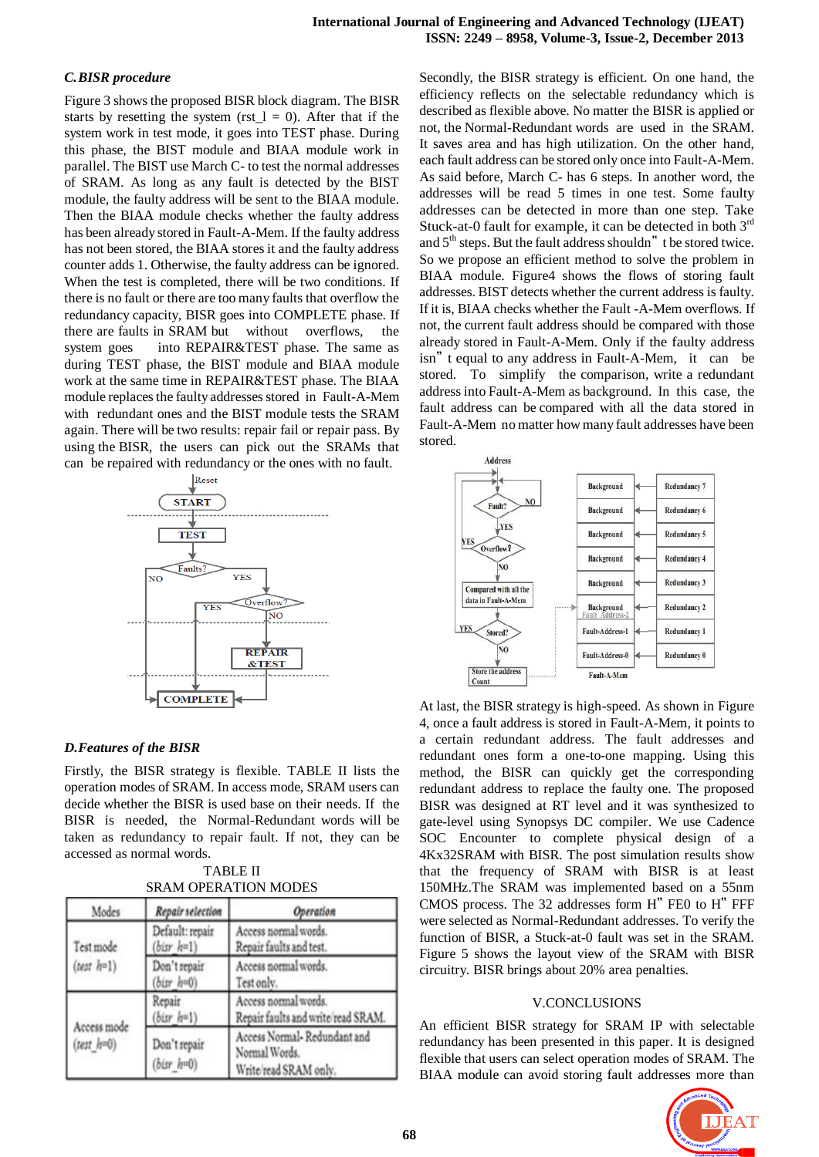# *C.BISR procedure*

Figure 3 shows the proposed BISR block diagram. The BISR starts by resetting the system (rst $_1 = 0$ ). After that if the system work in test mode, it goes into TEST phase. During this phase, the BIST module and BIAA module work in parallel. The BIST use March C- to test the normal addresses of SRAM. As long as any fault is detected by the BIST module, the faulty address will be sent to the BIAA module. Then the BIAA module checks whether the faulty address has been already stored in Fault-A-Mem. If the faulty address has not been stored, the BIAA stores it and the faulty address counter adds 1. Otherwise, the faulty address can be ignored. When the test is completed, there will be two conditions. If there is no fault or there are too many faults that overflow the redundancy capacity, BISR goes into COMPLETE phase. If there are faults in SRAM but without overflows, the system goes into REPAIR&TEST phase. The same as during TEST phase, the BIST module and BIAA module work at the same time in REPAIR&TEST phase. The BIAA module replaces the faulty addresses stored in Fault-A-Mem with redundant ones and the BIST module tests the SRAM again. There will be two results: repair fail or repair pass. By using the BISR, the users can pick out the SRAMs that can be repaired with redundancy or the ones with no fault.



# *D.Features of the BISR*

Firstly, the BISR strategy is flexible. TABLE II lists the operation modes of SRAM. In access mode, SRAM users can decide whether the BISR is used base on their needs. If the BISR is needed, the Normal-Redundant words will be taken as redundancy to repair fault. If not, they can be accessed as normal words.

TABLE II SRAM OPERATION MODES

| Modes                       | Repair selection                | Operation                                                             |  |
|-----------------------------|---------------------------------|-----------------------------------------------------------------------|--|
| Test mode<br>$(test h=1)$   | Default: repair<br>$(bisr h=1)$ | Access normal words.<br>Repair faults and test.                       |  |
|                             | Don't repair<br>$(bisr h=0)$    | Access normal words.<br>Test only.                                    |  |
| Access mode<br>$(test h=0)$ | Repair<br>$(bisr h=1)$          | Access normal words.<br>Repair faults and write read SRAM.            |  |
|                             | Don't repair<br>$(bisr h=0)$    | Access Normal-Redundant and<br>Normal Words.<br>Write/read SRAM only. |  |

Secondly, the BISR strategy is efficient. On one hand, the efficiency reflects on the selectable redundancy which is described as flexible above. No matter the BISR is applied or not, the Normal-Redundant words are used in the SRAM. It saves area and has high utilization. On the other hand, each fault address can be stored only once into Fault-A-Mem. As said before, March C- has 6 steps. In another word, the addresses will be read 5 times in one test. Some faulty addresses can be detected in more than one step. Take Stuck-at-0 fault for example, it can be detected in both 3rd and  $5<sup>th</sup>$  steps. But the fault address shouldn" t be stored twice. So we propose an efficient method to solve the problem in BIAA module. Figure4 shows the flows of storing fault addresses. BIST detects whether the current address is faulty. If it is, BIAA checks whether the Fault -A-Mem overflows. If not, the current fault address should be compared with those already stored in Fault-A-Mem. Only if the faulty address isn" t equal to any address in Fault-A-Mem, it can be stored. To simplify the comparison, write a redundant address into Fault-A-Mem as background. In this case, the fault address can be compared with all the data stored in Fault-A-Mem no matter how many fault addresses have been stored.



At last, the BISR strategy is high-speed. As shown in Figure 4, once a fault address is stored in Fault-A-Mem, it points to a certain redundant address. The fault addresses and redundant ones form a one-to-one mapping. Using this method, the BISR can quickly get the corresponding redundant address to replace the faulty one. The proposed BISR was designed at RT level and it was synthesized to gate-level using Synopsys DC compiler. We use Cadence SOC Encounter to complete physical design of a 4Kx32SRAM with BISR. The post simulation results show that the frequency of SRAM with BISR is at least 150MHz.The SRAM was implemented based on a 55nm CMOS process. The 32 addresses form H" FE0 to H" FFF were selected as Normal-Redundant addresses. To verify the function of BISR, a Stuck-at-0 fault was set in the SRAM. Figure 5 shows the layout view of the SRAM with BISR circuitry. BISR brings about 20% area penalties.

# V.CONCLUSIONS

An efficient BISR strategy for SRAM IP with selectable redundancy has been presented in this paper. It is designed flexible that users can select operation modes of SRAM. The BIAA module can avoid storing fault addresses more than